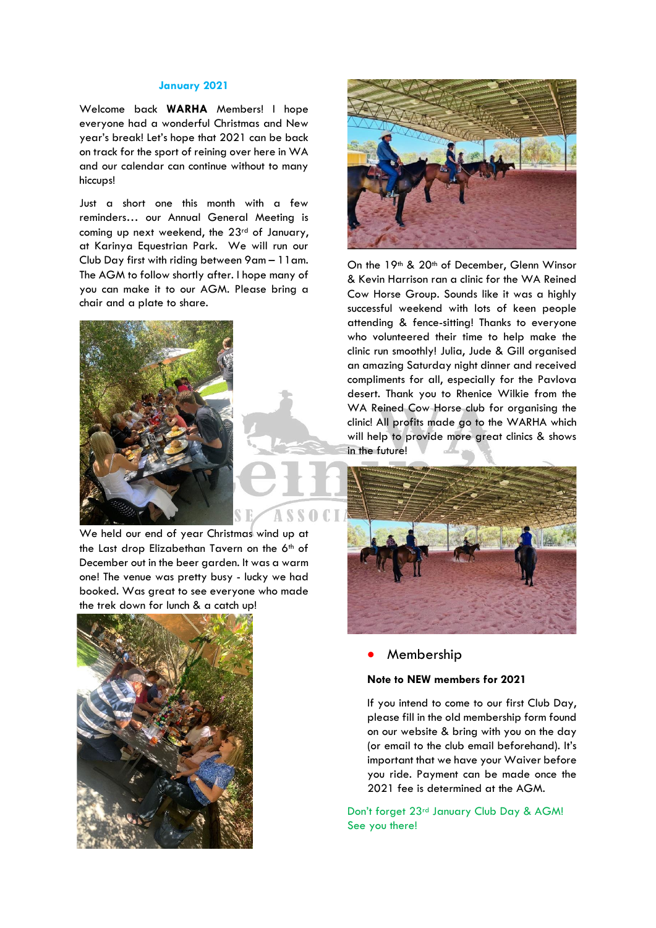#### **January 2021**

Welcome back **WARHA** Members! I hope everyone had a wonderful Christmas and New year's break! Let's hope that 2021 can be back on track for the sport of reining over here in WA and our calendar can continue without to many hiccups!

Just a short one this month with a few reminders… our Annual General Meeting is coming up next weekend, the 23<sup>rd</sup> of January, at Karinya Equestrian Park. We will run our Club Day first with riding between 9am – 11am. The AGM to follow shortly after. I hope many of you can make it to our AGM. Please bring a chair and a plate to share.



We held our end of year Christmas wind up at the Last drop Elizabethan Tavern on the 6th of December out in the beer garden. It was a warm one! The venue was pretty busy - lucky we had booked. Was great to see everyone who made the trek down for lunch & a catch up!





On the 19<sup>th</sup> & 20<sup>th</sup> of December, Glenn Winsor & Kevin Harrison ran a clinic for the WA Reined Cow Horse Group. Sounds like it was a highly successful weekend with lots of keen people attending & fence-sitting! Thanks to everyone who volunteered their time to help make the clinic run smoothly! Julia, Jude & Gill organised an amazing Saturday night dinner and received compliments for all, especially for the Pavlova desert. Thank you to Rhenice Wilkie from the WA Reined Cow Horse club for organising the clinic! All profits made go to the WARHA which will help to provide more great clinics & shows in the future!



• Membership

### **Note to NEW members for 2021**

If you intend to come to our first Club Day, please fill in the old membership form found on our website & bring with you on the day (or email to the club email beforehand). It's important that we have your Waiver before you ride. Payment can be made once the 2021 fee is determined at the AGM.

Don't forget 23rd January Club Day & AGM! See you there!